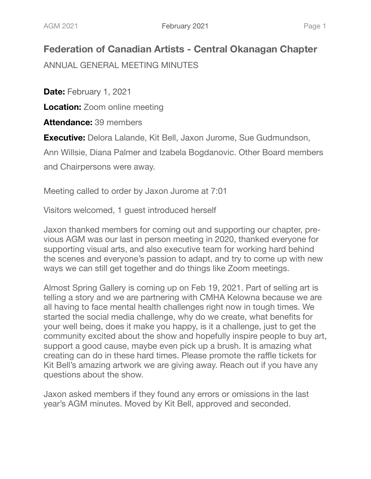## **Federation of Canadian Artists - Central Okanagan Chapter**

ANNUAL GENERAL MEETING MINUTES

**Date:** February 1, 2021

**Location:** Zoom online meeting

**Attendance:** 39 members

**Executive:** Delora Lalande, Kit Bell, Jaxon Jurome, Sue Gudmundson,

Ann Willsie, Diana Palmer and Izabela Bogdanovic. Other Board members

and Chairpersons were away.

Meeting called to order by Jaxon Jurome at 7:01

Visitors welcomed, 1 guest introduced herself

Jaxon thanked members for coming out and supporting our chapter, previous AGM was our last in person meeting in 2020, thanked everyone for supporting visual arts, and also executive team for working hard behind the scenes and everyone's passion to adapt, and try to come up with new ways we can still get together and do things like Zoom meetings.

Almost Spring Gallery is coming up on Feb 19, 2021. Part of selling art is telling a story and we are partnering with CMHA Kelowna because we are all having to face mental health challenges right now in tough times. We started the social media challenge, why do we create, what benefits for your well being, does it make you happy, is it a challenge, just to get the community excited about the show and hopefully inspire people to buy art, support a good cause, maybe even pick up a brush. It is amazing what creating can do in these hard times. Please promote the raffle tickets for Kit Bell's amazing artwork we are giving away. Reach out if you have any questions about the show.

Jaxon asked members if they found any errors or omissions in the last year's AGM minutes. Moved by Kit Bell, approved and seconded.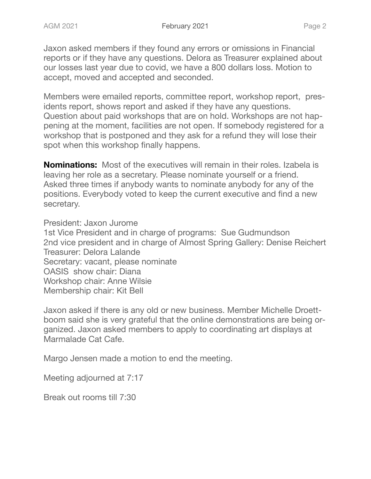Jaxon asked members if they found any errors or omissions in Financial reports or if they have any questions. Delora as Treasurer explained about our losses last year due to covid, we have a 800 dollars loss. Motion to accept, moved and accepted and seconded.

Members were emailed reports, committee report, workshop report, presidents report, shows report and asked if they have any questions. Question about paid workshops that are on hold. Workshops are not happening at the moment, facilities are not open. If somebody registered for a workshop that is postponed and they ask for a refund they will lose their spot when this workshop finally happens.

**Nominations:** Most of the executives will remain in their roles. Izabela is leaving her role as a secretary. Please nominate yourself or a friend. Asked three times if anybody wants to nominate anybody for any of the positions. Everybody voted to keep the current executive and find a new secretary.

President: Jaxon Jurome

1st Vice President and in charge of programs: Sue Gudmundson 2nd vice president and in charge of Almost Spring Gallery: Denise Reichert Treasurer: Delora Lalande Secretary: vacant, please nominate OASIS show chair: Diana Workshop chair: Anne Wilsie Membership chair: Kit Bell

Jaxon asked if there is any old or new business. Member Michelle Droettboom said she is very grateful that the online demonstrations are being organized. Jaxon asked members to apply to coordinating art displays at Marmalade Cat Cafe.

Margo Jensen made a motion to end the meeting.

Meeting adjourned at 7:17

Break out rooms till 7:30